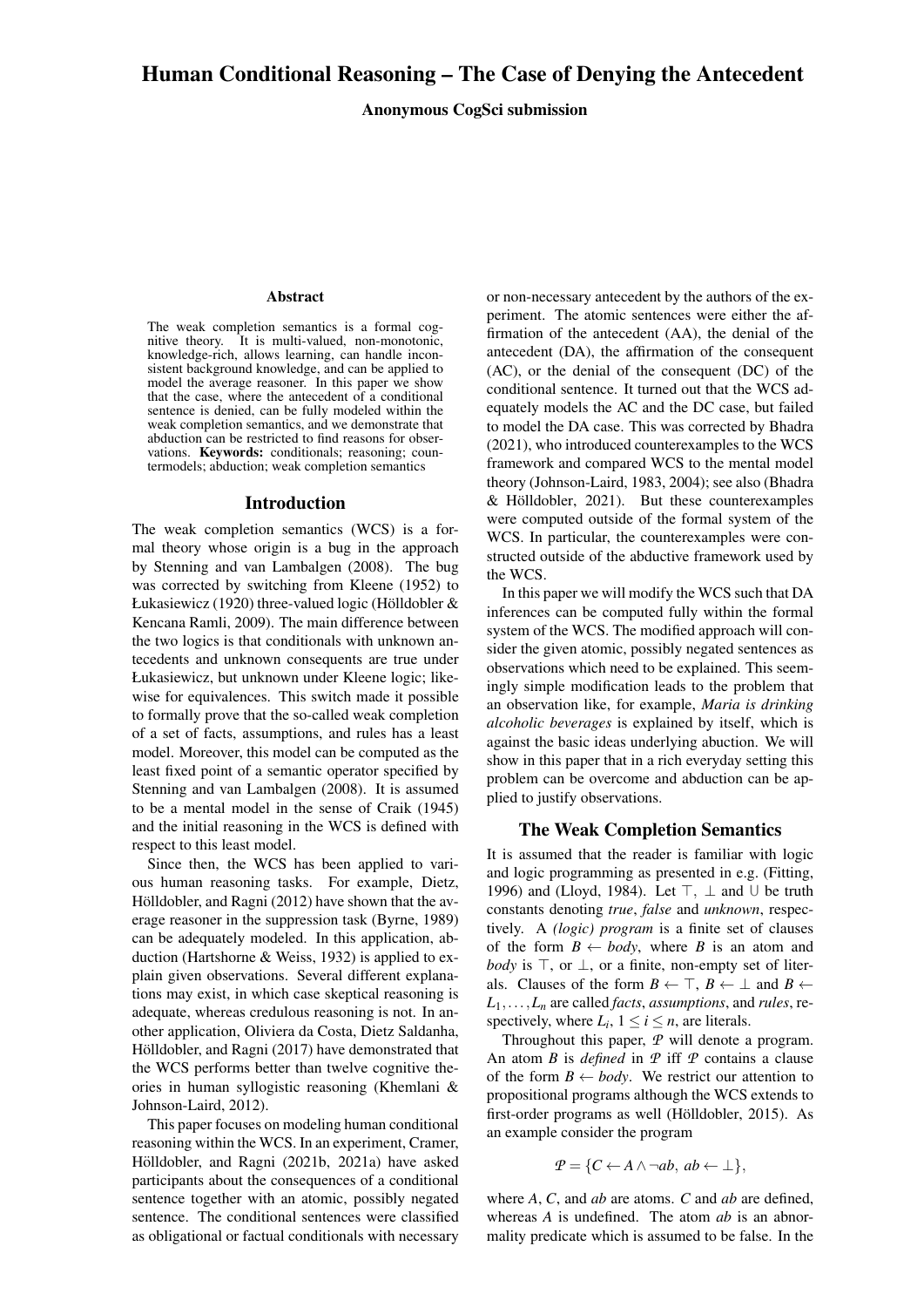# Human Conditional Reasoning – The Case of Denying the Antecedent

Anonymous CogSci submission

#### Abstract

The weak completion semantics is a formal cognitive theory. It is multi-valued, non-monotonic, It is multi-valued, non-monotonic, knowledge-rich, allows learning, can handle inconsistent background knowledge, and can be applied to model the average reasoner. In this paper we show that the case, where the antecedent of a conditional sentence is denied, can be fully modeled within the weak completion semantics, and we demonstrate that abduction can be restricted to find reasons for observations. Keywords: conditionals: reasoning: countermodels; abduction; weak completion semantics

#### Introduction

The weak completion semantics (WCS) is a formal theory whose origin is a bug in the approach by [Stenning and van Lambalgen](#page-6-0) [\(2008\)](#page-6-0). The bug was corrected by switching from [Kleene](#page-6-1) [\(1952\)](#page-6-1) to [Łukasiewicz](#page-6-2) [\(1920\)](#page-6-2) three-valued logic (Hölldobler  $&$ [Kencana Ramli, 2009\)](#page-6-3). The main difference between the two logics is that conditionals with unknown antecedents and unknown consequents are true under Łukasiewicz, but unknown under Kleene logic; likewise for equivalences. This switch made it possible to formally prove that the so-called weak completion of a set of facts, assumptions, and rules has a least model. Moreover, this model can be computed as the least fixed point of a semantic operator specified by [Stenning and van Lambalgen](#page-6-0) [\(2008\)](#page-6-0). It is assumed to be a mental model in the sense of [Craik](#page-6-4) [\(1945\)](#page-6-4) and the initial reasoning in the WCS is defined with respect to this least model.

Since then, the WCS has been applied to various human reasoning tasks. For example, [Dietz,](#page-6-5) Hölldobler, and Ragni [\(2012\)](#page-6-5) have shown that the average reasoner in the suppression task [\(Byrne, 1989\)](#page-6-6) can be adequately modeled. In this application, abduction [\(Hartshorne & Weiss, 1932\)](#page-6-7) is applied to explain given observations. Several different explanations may exist, in which case skeptical reasoning is adequate, whereas credulous reasoning is not. In another application, [Oliviera da Costa, Dietz Saldanha,](#page-6-8) Hölldobler, and Ragni [\(2017\)](#page-6-8) have demonstrated that the WCS performs better than twelve cognitive theories in human syllogistic reasoning [\(Khemlani &](#page-6-9) [Johnson-Laird, 2012\)](#page-6-9).

This paper focuses on modeling human conditional reasoning within the WCS. In an experiment, [Cramer,](#page-6-10) Hölldobler, and Ragni [\(2021b,](#page-6-10) [2021a\)](#page-6-11) have asked participants about the consequences of a conditional sentence together with an atomic, possibly negated sentence. The conditional sentences were classified as obligational or factual conditionals with necessary

or non-necessary antecedent by the authors of the experiment. The atomic sentences were either the affirmation of the antecedent (AA), the denial of the antecedent (DA), the affirmation of the consequent (AC), or the denial of the consequent (DC) of the conditional sentence. It turned out that the WCS adequately models the AC and the DC case, but failed to model the DA case. This was corrected by [Bhadra](#page-6-12) [\(2021\)](#page-6-12), who introduced counterexamples to the WCS framework and compared WCS to the mental model theory [\(Johnson-Laird, 1983,](#page-6-13) [2004\)](#page-6-14); see also [\(Bhadra](#page-6-15)  $& H\ddot{o}$ lldobler, 2021). But these counterexamples were computed outside of the formal system of the WCS. In particular, the counterexamples were constructed outside of the abductive framework used by the WCS.

In this paper we will modify the WCS such that DA inferences can be computed fully within the formal system of the WCS. The modified approach will consider the given atomic, possibly negated sentences as observations which need to be explained. This seemingly simple modification leads to the problem that an observation like, for example, *Maria is drinking alcoholic beverages* is explained by itself, which is against the basic ideas underlying abuction. We will show in this paper that in a rich everyday setting this problem can be overcome and abduction can be applied to justify observations.

### The Weak Completion Semantics

It is assumed that the reader is familiar with logic and logic programming as presented in e.g. [\(Fitting,](#page-6-16) [1996\)](#page-6-16) and [\(Lloyd, 1984\)](#page-6-17). Let  $\top$ ,  $\bot$  and U be truth constants denoting *true*, *false* and *unknown*, respectively. A *(logic) program* is a finite set of clauses of the form  $B \leftarrow body$ , where *B* is an atom and *body* is  $\top$ , or  $\bot$ , or a finite, non-empty set of literals. Clauses of the form  $B \leftarrow \top$ ,  $B \leftarrow \bot$  and  $B \leftarrow \bot$  $L_1, \ldots, L_n$  are called *facts*, *assumptions*, and *rules*, respectively, where  $L_i$ ,  $1 \le i \le n$ , are literals.

Throughout this paper, *P* will denote a program. An atom *B* is *defined* in *P* iff *P* contains a clause of the form  $B \leftarrow body$ . We restrict our attention to propositional programs although the WCS extends to first-order programs as well (Hölldobler, 2015). As an example consider the program

$$
P = \{C \leftarrow A \land \neg ab, ab \leftarrow \bot\},\
$$

where *A*, *C*, and *ab* are atoms. *C* and *ab* are defined, whereas *A* is undefined. The atom *ab* is an abnormality predicate which is assumed to be false. In the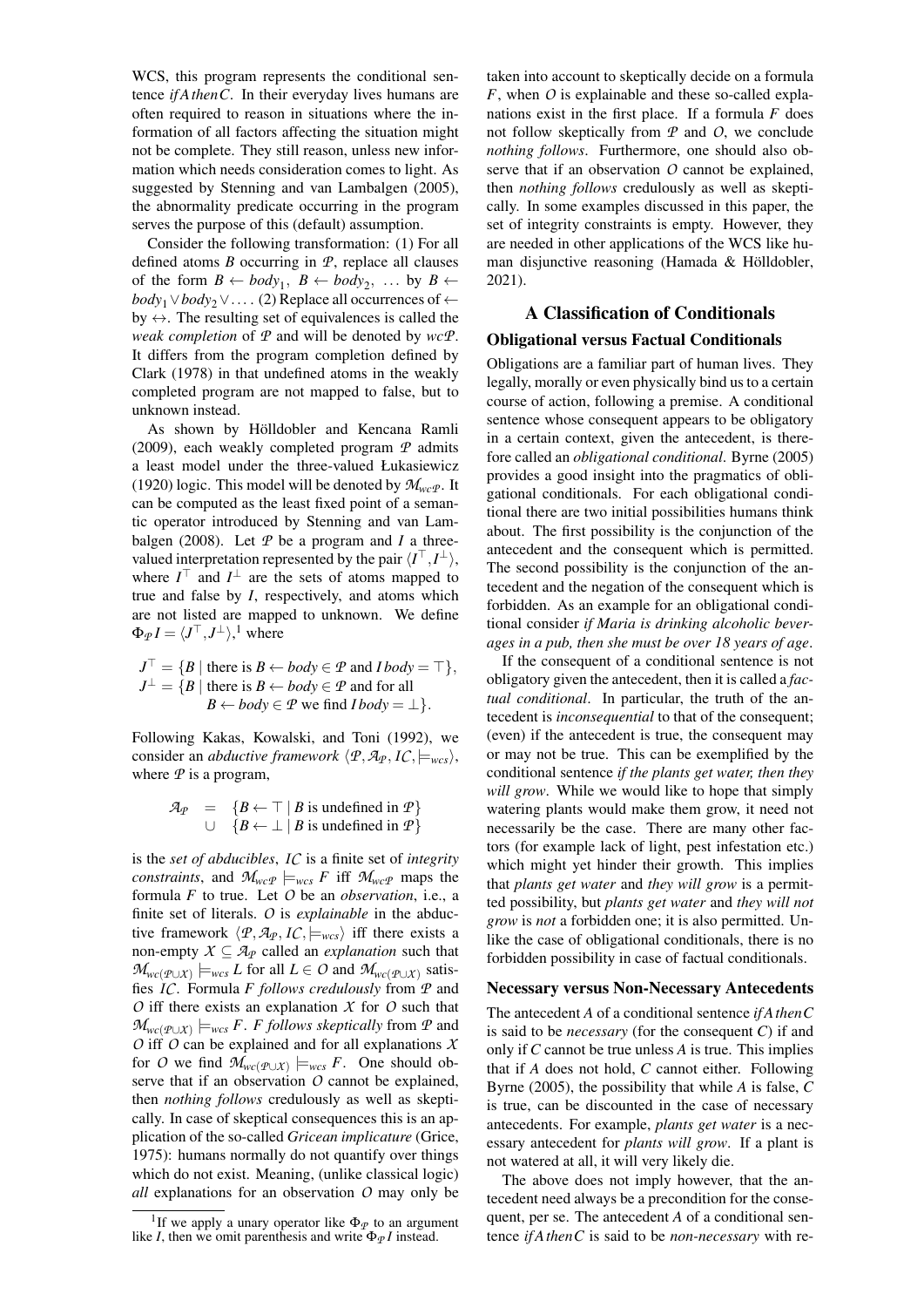WCS, this program represents the conditional sentence *if AthenC*. In their everyday lives humans are often required to reason in situations where the information of all factors affecting the situation might not be complete. They still reason, unless new information which needs consideration comes to light. As suggested by [Stenning and van Lambalgen](#page-6-19) [\(2005\)](#page-6-19), the abnormality predicate occurring in the program serves the purpose of this (default) assumption.

Consider the following transformation: (1) For all defined atoms *B* occurring in *P*, replace all clauses of the form  $B \leftarrow body_1, B \leftarrow body_2, \dots$  by  $B \leftarrow$ *body*<sub>1</sub>∨*body*<sub>2</sub>∨.... (2) Replace all occurrences of ← by  $\leftrightarrow$ . The resulting set of equivalences is called the *weak completion* of *P* and will be denoted by *wcP*. It differs from the program completion defined by [Clark](#page-6-20) [\(1978\)](#page-6-20) in that undefined atoms in the weakly completed program are not mapped to false, but to unknown instead.

As shown by Hölldobler and Kencana Ramli [\(2009\)](#page-6-3), each weakly completed program *P* admits a least model under the three-valued [Łukasiewicz](#page-6-2) [\(1920\)](#page-6-2) logic. This model will be denoted by  $\mathcal{M}_{wc}$ . It can be computed as the least fixed point of a semantic operator introduced by [Stenning and van Lam](#page-6-0)[balgen](#page-6-0) [\(2008\)](#page-6-0). Let  $P$  be a program and  $I$  a threevalued interpretation represented by the pair  $\langle I^{\top}, I^{\perp} \rangle$ , where  $I^{\top}$  and  $I^{\perp}$  are the sets of atoms mapped to true and false by *I*, respectively, and atoms which are not listed are mapped to unknown. We define  $\Phi_{\mathcal{P}} I = \langle J^{\top}, J^{\perp} \rangle, ^{1}$  $\Phi_{\mathcal{P}} I = \langle J^{\top}, J^{\perp} \rangle, ^{1}$  $\Phi_{\mathcal{P}} I = \langle J^{\top}, J^{\perp} \rangle, ^{1}$  where

$$
J^{\top} = \{B \mid \text{there is } B \leftarrow body \in \mathcal{P} \text{ and } Ibody = \top \},
$$
  

$$
J^{\perp} = \{B \mid \text{there is } B \leftarrow body \in \mathcal{P} \text{ and for all}
$$
  

$$
B \leftarrow body \in \mathcal{P} \text{ we find } Ibody = \perp \}.
$$

Following [Kakas, Kowalski, and Toni](#page-6-21) [\(1992\)](#page-6-21), we consider an *abductive framework*  $\langle P, \mathcal{A}_P, I \mathcal{C}, \models_{wcs} \rangle$ , where  $P$  is a program,

$$
\mathcal{A}_{\mathcal{P}} = \{ B \leftarrow \top \mid B \text{ is undefined in } \mathcal{P} \}
$$
  

$$
\cup \{ B \leftarrow \bot \mid B \text{ is undefined in } \mathcal{P} \}
$$

is the *set of abducibles*, *IC* is a finite set of *integrity constraints*, and  $\mathcal{M}_{wcP}$   $\models_{wcs}$  *F* iff  $\mathcal{M}_{wcP}$  maps the formula *F* to true. Let *O* be an *observation*, i.e., a finite set of literals. *O* is *explainable* in the abductive framework  $\langle P, A_P, I_C \rangle$  = wcs<sub>i</sub> iff there exists a non-empty  $X \subseteq \mathcal{A}_P$  called an *explanation* such that *M*<sup>*wc*( $P$ ∪*X*)</sub>  $\models$ *wcs L* for all *L* ∈ *O* and *M*<sub>*wc*( $P$ ∪*X*)</sub> satis-</sup> fies *IC*. Formula *F follows credulously* from *P* and *O* iff there exists an explanation *X* for *O* such that  $\mathcal{M}_{wc(P \cup X)}$   $\models$ *wcs F*. *F follows skeptically* from  $P$  and *O* iff *O* can be explained and for all explanations *X* for *O* we find  $\mathcal{M}_{wc(P\cup X)} \models_{wcs} F$ . One should observe that if an observation *O* cannot be explained, then *nothing follows* credulously as well as skeptically. In case of skeptical consequences this is an application of the so-called *Gricean implicature* [\(Grice,](#page-6-22) [1975\)](#page-6-22): humans normally do not quantify over things which do not exist. Meaning, (unlike classical logic) *all* explanations for an observation *O* may only be taken into account to skeptically decide on a formula *F*, when *O* is explainable and these so-called explanations exist in the first place. If a formula *F* does not follow skeptically from *P* and *O*, we conclude *nothing follows*. Furthermore, one should also observe that if an observation *O* cannot be explained, then *nothing follows* credulously as well as skeptically. In some examples discussed in this paper, the set of integrity constraints is empty. However, they are needed in other applications of the WCS like human disjunctive reasoning (Hamada  $&$  Hölldobler, [2021\)](#page-6-23).

# A Classification of Conditionals

## Obligational versus Factual Conditionals

Obligations are a familiar part of human lives. They legally, morally or even physically bind us to a certain course of action, following a premise. A conditional sentence whose consequent appears to be obligatory in a certain context, given the antecedent, is therefore called an *obligational conditional*. [Byrne](#page-6-24) [\(2005\)](#page-6-24) provides a good insight into the pragmatics of obligational conditionals. For each obligational conditional there are two initial possibilities humans think about. The first possibility is the conjunction of the antecedent and the consequent which is permitted. The second possibility is the conjunction of the antecedent and the negation of the consequent which is forbidden. As an example for an obligational conditional consider *if Maria is drinking alcoholic beverages in a pub, then she must be over 18 years of age*.

If the consequent of a conditional sentence is not obligatory given the antecedent, then it is called a *factual conditional*. In particular, the truth of the antecedent is *inconsequential* to that of the consequent; (even) if the antecedent is true, the consequent may or may not be true. This can be exemplified by the conditional sentence *if the plants get water, then they will grow*. While we would like to hope that simply watering plants would make them grow, it need not necessarily be the case. There are many other factors (for example lack of light, pest infestation etc.) which might yet hinder their growth. This implies that *plants get water* and *they will grow* is a permitted possibility, but *plants get water* and *they will not grow* is *not* a forbidden one; it is also permitted. Unlike the case of obligational conditionals, there is no forbidden possibility in case of factual conditionals.

#### Necessary versus Non-Necessary Antecedents

The antecedent *A* of a conditional sentence *if AthenC* is said to be *necessary* (for the consequent *C*) if and only if *C* cannot be true unless *A* is true. This implies that if *A* does not hold, *C* cannot either. Following [Byrne](#page-6-24) [\(2005\)](#page-6-24), the possibility that while *A* is false, *C* is true, can be discounted in the case of necessary antecedents. For example, *plants get water* is a necessary antecedent for *plants will grow*. If a plant is not watered at all, it will very likely die.

The above does not imply however, that the antecedent need always be a precondition for the consequent, per se. The antecedent *A* of a conditional sentence *if AthenC* is said to be *non-necessary* with re-

<span id="page-1-0"></span><sup>&</sup>lt;sup>1</sup>If we apply a unary operator like  $\Phi_{\mathcal{P}}$  to an argument like *I*, then we omit parenthesis and write  $\Phi_{\varphi} I$  instead.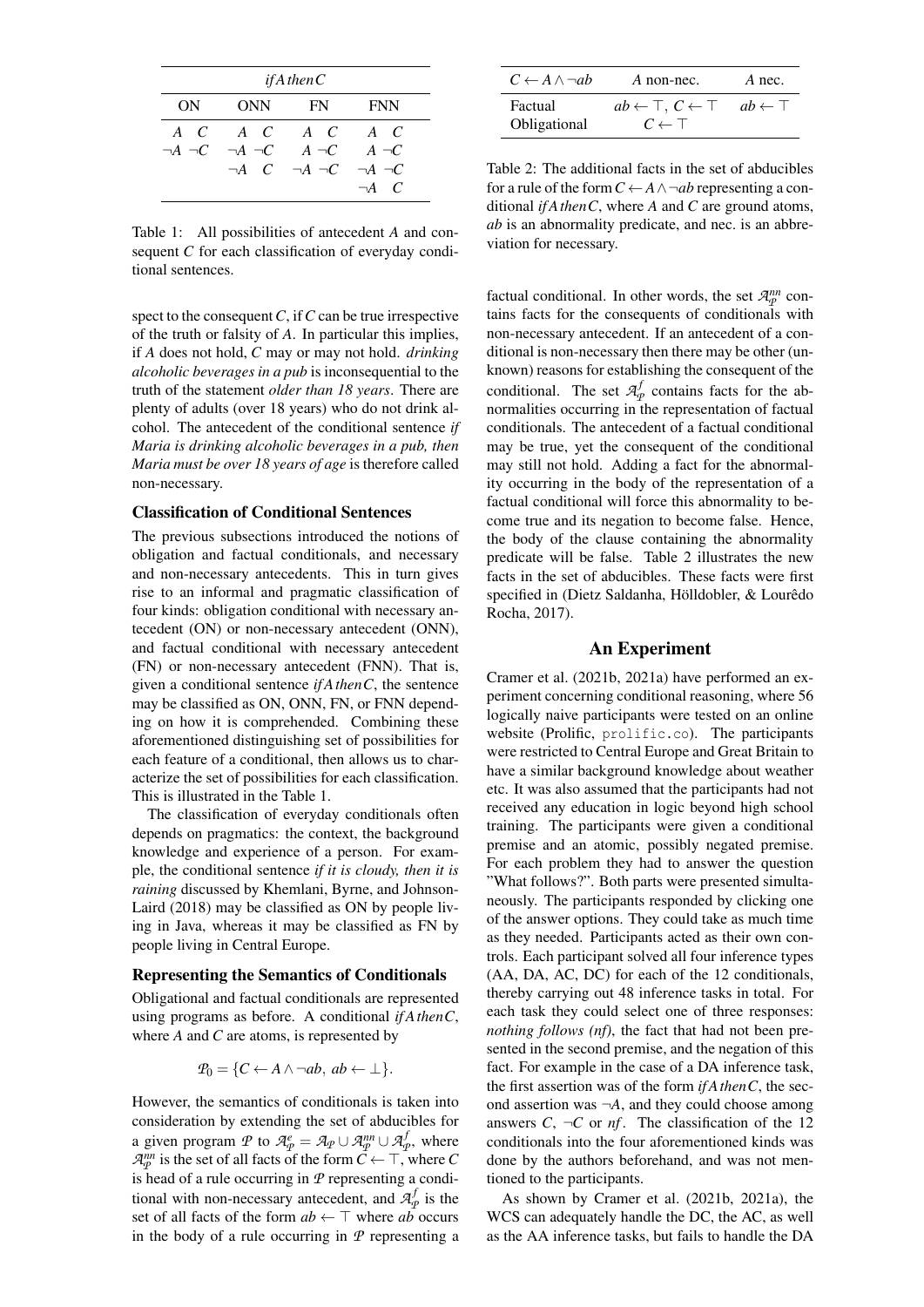| if A then $C$ |                                                                     |                                                |              |  |  |  |  |  |
|---------------|---------------------------------------------------------------------|------------------------------------------------|--------------|--|--|--|--|--|
| ONN 0<br>ON.  |                                                                     | FN F                                           | <b>FNN</b>   |  |  |  |  |  |
|               | ACACACAC                                                            |                                                |              |  |  |  |  |  |
|               | $\neg A \neg C \quad \neg A \neg C \qquad A \neg C \qquad A \neg C$ | $\neg A$ C $\neg A$ $\neg C$ $\neg A$ $\neg C$ |              |  |  |  |  |  |
|               |                                                                     |                                                | $\neg A$ $C$ |  |  |  |  |  |

<span id="page-2-0"></span>Table 1: All possibilities of antecedent *A* and consequent *C* for each classification of everyday conditional sentences.

spect to the consequent*C*, if*C* can be true irrespective of the truth or falsity of *A*. In particular this implies, if *A* does not hold, *C* may or may not hold. *drinking alcoholic beverages in a pub* is inconsequential to the truth of the statement *older than 18 years*. There are plenty of adults (over 18 years) who do not drink alcohol. The antecedent of the conditional sentence *if Maria is drinking alcoholic beverages in a pub, then Maria must be over 18 years of age* is therefore called non-necessary.

## Classification of Conditional Sentences

The previous subsections introduced the notions of obligation and factual conditionals, and necessary and non-necessary antecedents. This in turn gives rise to an informal and pragmatic classification of four kinds: obligation conditional with necessary antecedent (ON) or non-necessary antecedent (ONN), and factual conditional with necessary antecedent (FN) or non-necessary antecedent (FNN). That is, given a conditional sentence *if AthenC*, the sentence may be classified as ON, ONN, FN, or FNN depending on how it is comprehended. Combining these aforementioned distinguishing set of possibilities for each feature of a conditional, then allows us to characterize the set of possibilities for each classification. This is illustrated in the Table [1.](#page-2-0)

The classification of everyday conditionals often depends on pragmatics: the context, the background knowledge and experience of a person. For example, the conditional sentence *if it is cloudy, then it is raining* discussed by [Khemlani, Byrne, and Johnson-](#page-6-25)[Laird](#page-6-25) [\(2018\)](#page-6-25) may be classified as ON by people living in Java, whereas it may be classified as FN by people living in Central Europe.

#### Representing the Semantics of Conditionals

Obligational and factual conditionals are represented using programs as before. A conditional *if AthenC*, where *A* and *C* are atoms, is represented by

$$
P_0 = \{C \leftarrow A \land \neg ab, \ ab \leftarrow \bot\}.
$$

However, the semantics of conditionals is taken into consideration by extending the set of abducibles for a given program *P* to  $\mathcal{A}_p^e = \mathcal{A}_p \cup \mathcal{A}_p^{nn} \cup \mathcal{A}_q^f$  $P_P^J$ , where  $\mathcal{A}_{\mathcal{P}}^{nn}$  is the set of all facts of the form  $\mathcal{C} \leftarrow \top$ , where  $\mathcal{C}$ is head of a rule occurring in *P* representing a conditional with non-necessary antecedent, and  $\mathcal{A}_q^f$  $P_{\mathcal{P}}^{\prime}$  is the set of all facts of the form  $ab \leftarrow \top$  where  $ab$  occurs in the body of a rule occurring in *P* representing a

| $C \leftarrow A \land \neg ab$ | A non-nec.                                                                              | A nec. |
|--------------------------------|-----------------------------------------------------------------------------------------|--------|
| Factual<br>Obligational        | $ab \leftarrow \top, C \leftarrow \top \quad ab \leftarrow \top$<br>$C \leftarrow \top$ |        |

<span id="page-2-1"></span>Table 2: The additional facts in the set of abducibles for a rule of the form  $C \leftarrow A \land \neg ab$  representing a conditional *if AthenC*, where *A* and *C* are ground atoms, *ab* is an abnormality predicate, and nec. is an abbreviation for necessary.

factual conditional. In other words, the set  $\mathcal{A}_P^{nn}$  contains facts for the consequents of conditionals with non-necessary antecedent. If an antecedent of a conditional is non-necessary then there may be other (unknown) reasons for establishing the consequent of the conditional. The set  $\mathcal{A}_{q}^{j}$  $P_P^f$  contains facts for the abnormalities occurring in the representation of factual conditionals. The antecedent of a factual conditional may be true, yet the consequent of the conditional may still not hold. Adding a fact for the abnormality occurring in the body of the representation of a factual conditional will force this abnormality to become true and its negation to become false. Hence, the body of the clause containing the abnormality predicate will be false. Table [2](#page-2-1) illustrates the new facts in the set of abducibles. These facts were first specified in (Dietz Saldanha, Hölldobler, & Lourêdo [Rocha, 2017\)](#page-6-26).

### An Experiment

[Cramer et al.](#page-6-10) [\(2021b,](#page-6-10) [2021a\)](#page-6-11) have performed an experiment concerning conditional reasoning, where 56 logically naive participants were tested on an online website (Prolific, <prolific.co>). The participants were restricted to Central Europe and Great Britain to have a similar background knowledge about weather etc. It was also assumed that the participants had not received any education in logic beyond high school training. The participants were given a conditional premise and an atomic, possibly negated premise. For each problem they had to answer the question "What follows?". Both parts were presented simultaneously. The participants responded by clicking one of the answer options. They could take as much time as they needed. Participants acted as their own controls. Each participant solved all four inference types (AA, DA, AC, DC) for each of the 12 conditionals, thereby carrying out 48 inference tasks in total. For each task they could select one of three responses: *nothing follows (nf)*, the fact that had not been presented in the second premise, and the negation of this fact. For example in the case of a DA inference task, the first assertion was of the form *if AthenC*, the second assertion was ¬*A*, and they could choose among answers  $C$ ,  $\neg C$  or  $nf$ . The classification of the 12 conditionals into the four aforementioned kinds was done by the authors beforehand, and was not mentioned to the participants.

As shown by [Cramer et al.](#page-6-10) [\(2021b,](#page-6-10) [2021a\)](#page-6-11), the WCS can adequately handle the DC, the AC, as well as the AA inference tasks, but fails to handle the DA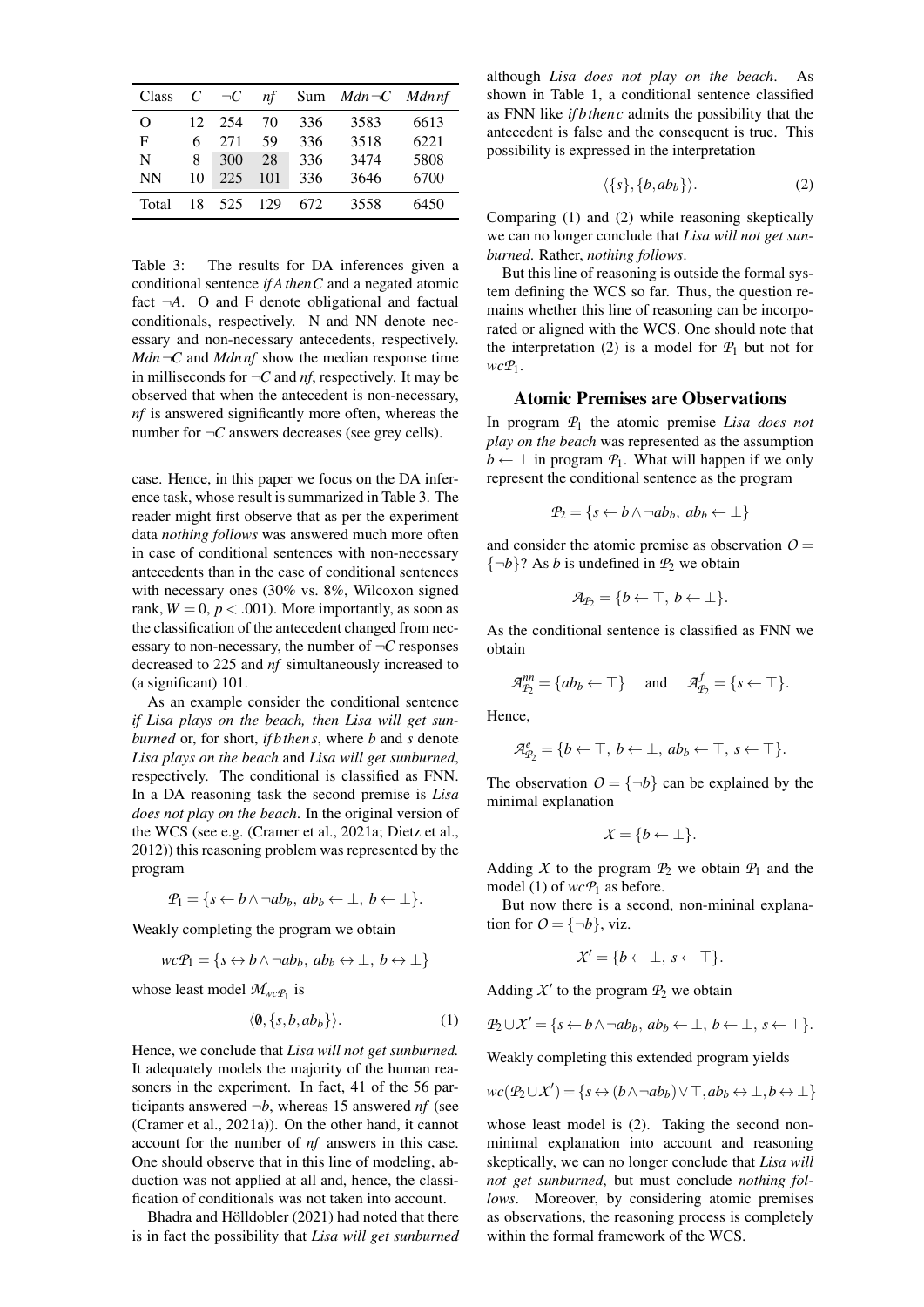| Class       | $\mathcal{C}^-$ | $\neg C$ | nf  |      | Sum $Mdn \neg C$ Mdnnf |      |
|-------------|-----------------|----------|-----|------|------------------------|------|
| O           | 12.             | 254      | 70  | 336  | 3583                   | 6613 |
| $\mathbf F$ | 6               | 271      | 59  | 336  | 3518                   | 6221 |
| N           | 8               | 300      | 28  | 336  | 3474                   | 5808 |
| <b>NN</b>   | 10              | 225      | 101 | 336  | 3646                   | 6700 |
| Total       | 18              | 525      | 129 | 672. | 3558                   | 6450 |

<span id="page-3-0"></span>Table 3: The results for DA inferences given a conditional sentence *if AthenC* and a negated atomic fact  $\neg A$ . O and F denote obligational and factual conditionals, respectively. N and NN denote necessary and non-necessary antecedents, respectively. *Mdn* ¬*C* and *Mdnnf* show the median response time in milliseconds for  $\neg C$  and *nf*, respectively. It may be observed that when the antecedent is non-necessary, *nf* is answered significantly more often, whereas the number for  $\neg C$  answers decreases (see grey cells).

case. Hence, in this paper we focus on the DA inference task, whose result is summarized in Table [3.](#page-3-0) The reader might first observe that as per the experiment data *nothing follows* was answered much more often in case of conditional sentences with non-necessary antecedents than in the case of conditional sentences with necessary ones (30% vs. 8%, Wilcoxon signed rank,  $W = 0$ ,  $p < .001$ ). More importantly, as soon as the classification of the antecedent changed from necessary to non-necessary, the number of ¬*C* responses decreased to 225 and *nf* simultaneously increased to (a significant) 101.

As an example consider the conditional sentence *if Lisa plays on the beach, then Lisa will get sunburned* or, for short, *if bthen s*, where *b* and *s* denote *Lisa plays on the beach* and *Lisa will get sunburned*, respectively. The conditional is classified as FNN. In a DA reasoning task the second premise is *Lisa does not play on the beach*. In the original version of the WCS (see e.g. [\(Cramer et al., 2021a;](#page-6-11) [Dietz et al.,](#page-6-5) [2012\)](#page-6-5)) this reasoning problem was represented by the program

$$
\mathcal{P}_1 = \{ s \leftarrow b \land \neg ab_b, \ ab_b \leftarrow \bot, \ b \leftarrow \bot \}.
$$

Weakly completing the program we obtain

$$
wcP_1 = \{ s \leftrightarrow b \land \neg ab_b, \ ab_b \leftrightarrow \bot, \ b \leftrightarrow \bot \}
$$

whose least model  $\mathcal{M}_{wcP_1}$  is

<span id="page-3-1"></span>
$$
\langle \emptyset, \{s, b, ab_b\} \rangle. \tag{1}
$$

Hence, we conclude that *Lisa will not get sunburned.* It adequately models the majority of the human reasoners in the experiment. In fact, 41 of the 56 participants answered  $\neg b$ , whereas 15 answered *nf* (see [\(Cramer et al., 2021a\)](#page-6-11)). On the other hand, it cannot account for the number of *nf* answers in this case. One should observe that in this line of modeling, abduction was not applied at all and, hence, the classification of conditionals was not taken into account.

Bhadra and Hölldobler [\(2021\)](#page-6-15) had noted that there is in fact the possibility that *Lisa will get sunburned* although *Lisa does not play on the beach*. As shown in Table [1,](#page-2-0) a conditional sentence classified as FNN like *if bthen c* admits the possibility that the antecedent is false and the consequent is true. This possibility is expressed in the interpretation

<span id="page-3-2"></span>
$$
\langle \{s\}, \{b, ab_b\} \rangle. \tag{2}
$$

Comparing [\(1\)](#page-3-1) and [\(2\)](#page-3-2) while reasoning skeptically we can no longer conclude that *Lisa will not get sunburned*. Rather, *nothing follows*.

But this line of reasoning is outside the formal system defining the WCS so far. Thus, the question remains whether this line of reasoning can be incorporated or aligned with the WCS. One should note that the interpretation [\(2\)](#page-3-2) is a model for  $P_1$  but not for *wcP*1.

## Atomic Premises are Observations

In program *P*<sup>1</sup> the atomic premise *Lisa does not play on the beach* was represented as the assumption  $b \leftarrow \perp$  in program  $\mathcal{P}_1$ . What will happen if we only represent the conditional sentence as the program

$$
\mathcal{P}_2 = \{ s \leftarrow b \land \neg ab_b, \ ab_b \leftarrow \bot \}
$$

and consider the atomic premise as observation  $O =$  ${\lbrace \neg b \rbrace}$ ? As *b* is undefined in  $P_2$  we obtain

$$
\mathcal{A}_{P_2} = \{b \leftarrow \top, b \leftarrow \bot\}.
$$

As the conditional sentence is classified as FNN we obtain

$$
\mathcal{A}_{\mathcal{P}_2}^{nn} = \{ ab_b \leftarrow \top \} \quad \text{and} \quad \mathcal{A}_{\mathcal{P}_2}^f = \{ s \leftarrow \top \}.
$$

Hence,

$$
\mathcal{A}_{P_2}^e = \{b \leftarrow \top, b \leftarrow \bot, ab_b \leftarrow \top, s \leftarrow \top\}.
$$

The observation  $O = \{\neg b\}$  can be explained by the minimal explanation

$$
\mathcal{X} = \{b \leftarrow \bot\}.
$$

Adding *X* to the program  $P_2$  we obtain  $P_1$  and the model [\(1\)](#page-3-1) of  $wcP_1$  as before.

But now there is a second, non-mininal explanation for  $O = \{\neg b\}$ , viz.

$$
\mathcal{X}' = \{b \leftarrow \bot, \, s \leftarrow \top\}.
$$

Adding  $X'$  to the program  $P_2$  we obtain

$$
P_2 \cup X' = \{ s \leftarrow b \land \neg ab_b, \, ab_b \leftarrow \bot, \, b \leftarrow \bot, \, s \leftarrow \top \}.
$$

Weakly completing this extended program yields

$$
wc(\mathcal{P}_2 \cup \mathcal{X}') = \{ s \leftrightarrow (b \land \neg ab_b) \lor \top, ab_b \leftrightarrow \bot, b \leftrightarrow \bot \}
$$

whose least model is [\(2\)](#page-3-2). Taking the second nonminimal explanation into account and reasoning skeptically, we can no longer conclude that *Lisa will not get sunburned*, but must conclude *nothing follows*. Moreover, by considering atomic premises as observations, the reasoning process is completely within the formal framework of the WCS.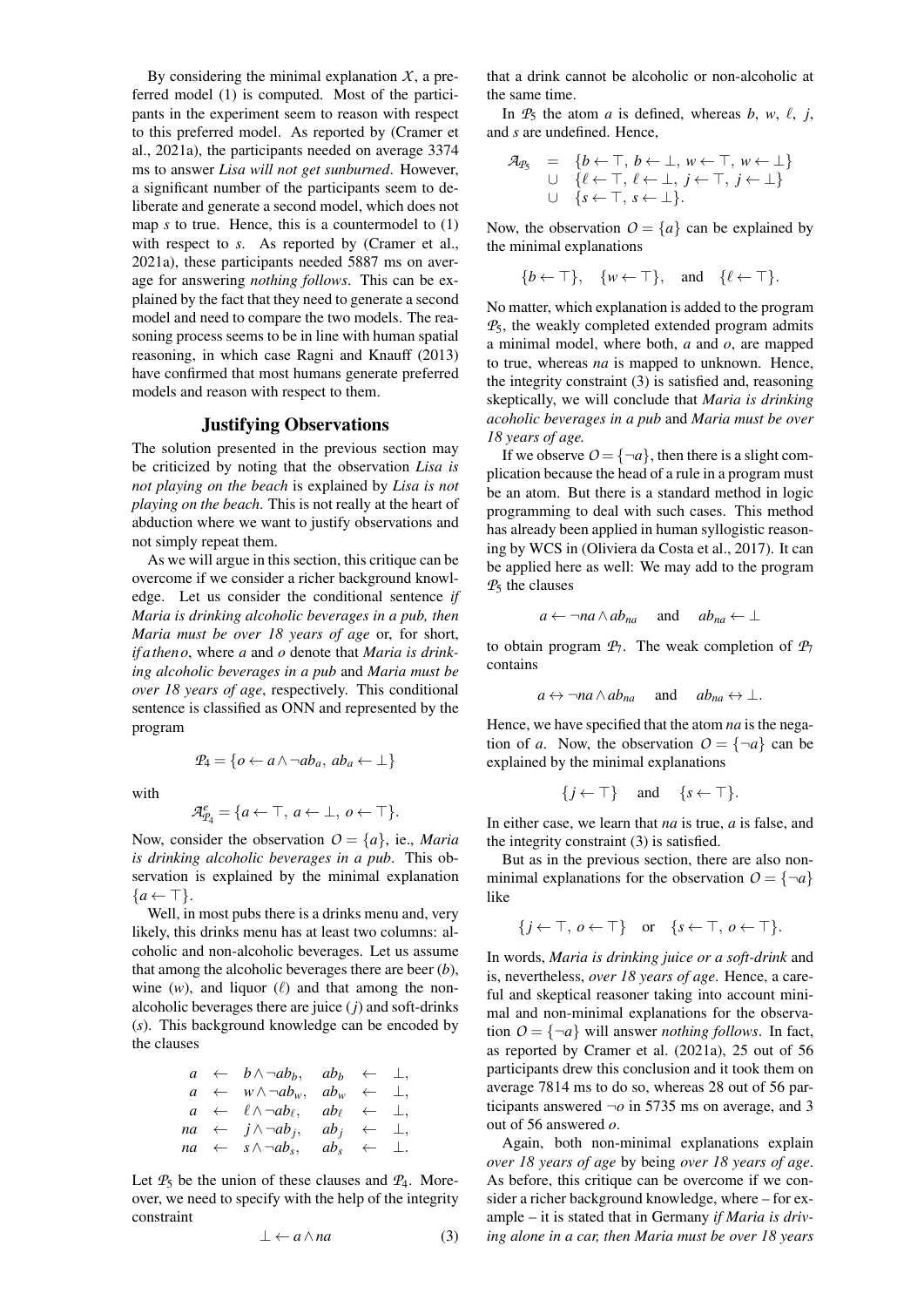By considering the minimal explanation  $X$ , a preferred model [\(1\)](#page-3-1) is computed. Most of the participants in the experiment seem to reason with respect to this preferred model. As reported by [\(Cramer et](#page-6-11) [al., 2021a\)](#page-6-11), the participants needed on average 3374 ms to answer *Lisa will not get sunburned*. However, a significant number of the participants seem to deliberate and generate a second model, which does not map *s* to true. Hence, this is a countermodel to [\(1\)](#page-3-1) with respect to *s*. As reported by [\(Cramer et al.,](#page-6-11) [2021a\)](#page-6-11), these participants needed 5887 ms on average for answering *nothing follows*. This can be explained by the fact that they need to generate a second model and need to compare the two models. The reasoning process seems to be in line with human spatial reasoning, in which case [Ragni and Knauff](#page-6-27) [\(2013\)](#page-6-27) have confirmed that most humans generate preferred models and reason with respect to them.

### Justifying Observations

The solution presented in the previous section may be criticized by noting that the observation *Lisa is not playing on the beach* is explained by *Lisa is not playing on the beach*. This is not really at the heart of abduction where we want to justify observations and not simply repeat them.

As we will argue in this section, this critique can be overcome if we consider a richer background knowledge. Let us consider the conditional sentence *if Maria is drinking alcoholic beverages in a pub, then Maria must be over 18 years of age* or, for short, *if athen o*, where *a* and *o* denote that *Maria is drinking alcoholic beverages in a pub* and *Maria must be over 18 years of age*, respectively. This conditional sentence is classified as ONN and represented by the program

with

$$
\mathcal{A}_{\mathcal{P}_4}^e = \{a \leftarrow \top, a \leftarrow \bot, o \leftarrow \top\}.
$$

 $P_4 = \{o \leftarrow a \land \neg ab_a, ab_a \leftarrow \perp\}$ 

Now, consider the observation  $O = \{a\}$ , ie., *Maria is drinking alcoholic beverages in a pub*. This observation is explained by the minimal explanation  $\{a \leftarrow \top\}.$ 

Well, in most pubs there is a drinks menu and, very likely, this drinks menu has at least two columns: alcoholic and non-alcoholic beverages. Let us assume that among the alcoholic beverages there are beer (*b*), wine  $(w)$ , and liquor  $(\ell)$  and that among the nonalcoholic beverages there are juice (*j*) and soft-drinks (*s*). This background knowledge can be encoded by the clauses

$$
a \leftarrow b \land \neg ab_b, \quad ab_b \leftarrow \bot, a \leftarrow w \land \neg ab_w, \quad ab_w \leftarrow \bot, a \leftarrow \ell \land \neg ab_{\ell}, \quad ab_{\ell} \leftarrow \bot, na \leftarrow j \land \neg ab_j, \quad ab_j \leftarrow \bot, na \leftarrow s \land \neg ab_s, \quad ab_s \leftarrow \bot.
$$

Let  $P_5$  be the union of these clauses and  $P_4$ . Moreover, we need to specify with the help of the integrity constraint

<span id="page-4-0"></span>
$$
\bot \leftarrow a \land na \tag{3}
$$

that a drink cannot be alcoholic or non-alcoholic at the same time.

In  $P_5$  the atom *a* is defined, whereas *b*, *w*,  $\ell$ , *j*, and *s* are undefined. Hence,

$$
\mathcal{A}_{P_5} = \{b \leftarrow \top, b \leftarrow \bot, w \leftarrow \top, w \leftarrow \bot\} \cup \{c \leftarrow \top, c \leftarrow \bot, j \leftarrow \top, j \leftarrow \bot\} \cup \{s \leftarrow \top, s \leftarrow \bot\}.
$$

Now, the observation  $O = \{a\}$  can be explained by the minimal explanations

$$
\{b \leftarrow \top\}, \quad \{w \leftarrow \top\}, \quad \text{and} \quad \{\ell \leftarrow \top\}.
$$

No matter, which explanation is added to the program *P*5, the weakly completed extended program admits a minimal model, where both, *a* and *o*, are mapped to true, whereas *na* is mapped to unknown. Hence, the integrity constraint [\(3\)](#page-4-0) is satisfied and, reasoning skeptically, we will conclude that *Maria is drinking acoholic beverages in a pub* and *Maria must be over 18 years of age.*

If we observe  $O = \{\neg a\}$ , then there is a slight complication because the head of a rule in a program must be an atom. But there is a standard method in logic programming to deal with such cases. This method has already been applied in human syllogistic reasoning by WCS in [\(Oliviera da Costa et al., 2017\)](#page-6-8). It can be applied here as well: We may add to the program *P*<sup>5</sup> the clauses

$$
a \leftarrow \neg na \wedge ab_{na}
$$
 and  $ab_{na} \leftarrow \perp$ 

to obtain program  $P_7$ . The weak completion of  $P_7$ contains

$$
a \leftrightarrow \neg na \wedge ab_{na}
$$
 and  $ab_{na} \leftrightarrow \bot$ .

Hence, we have specified that the atom *na* is the negation of *a*. Now, the observation  $O = \{\neg a\}$  can be explained by the minimal explanations

$$
\{j \leftarrow \top\} \quad \text{and} \quad \{s \leftarrow \top\}.
$$

In either case, we learn that *na* is true, *a* is false, and the integrity constraint [\(3\)](#page-4-0) is satisfied.

But as in the previous section, there are also nonminimal explanations for the observation  $O = \{\neg a\}$ like

$$
\{j \leftarrow \top, \ o \leftarrow \top\} \quad \text{or} \quad \{s \leftarrow \top, \ o \leftarrow \top\}.
$$

In words, *Maria is drinking juice or a soft-drink* and is, nevertheless, *over 18 years of age*. Hence, a careful and skeptical reasoner taking into account minimal and non-minimal explanations for the observation  $O = \{\neg a\}$  will answer *nothing follows*. In fact, as reported by [Cramer et al.](#page-6-11) [\(2021a\)](#page-6-11), 25 out of 56 participants drew this conclusion and it took them on average 7814 ms to do so, whereas 28 out of 56 participants answered  $\neg$ *o* in 5735 ms on average, and 3 out of 56 answered *o*.

Again, both non-minimal explanations explain *over 18 years of age* by being *over 18 years of age*. As before, this critique can be overcome if we consider a richer background knowledge, where – for example – it is stated that in Germany *if Maria is driving alone in a car, then Maria must be over 18 years*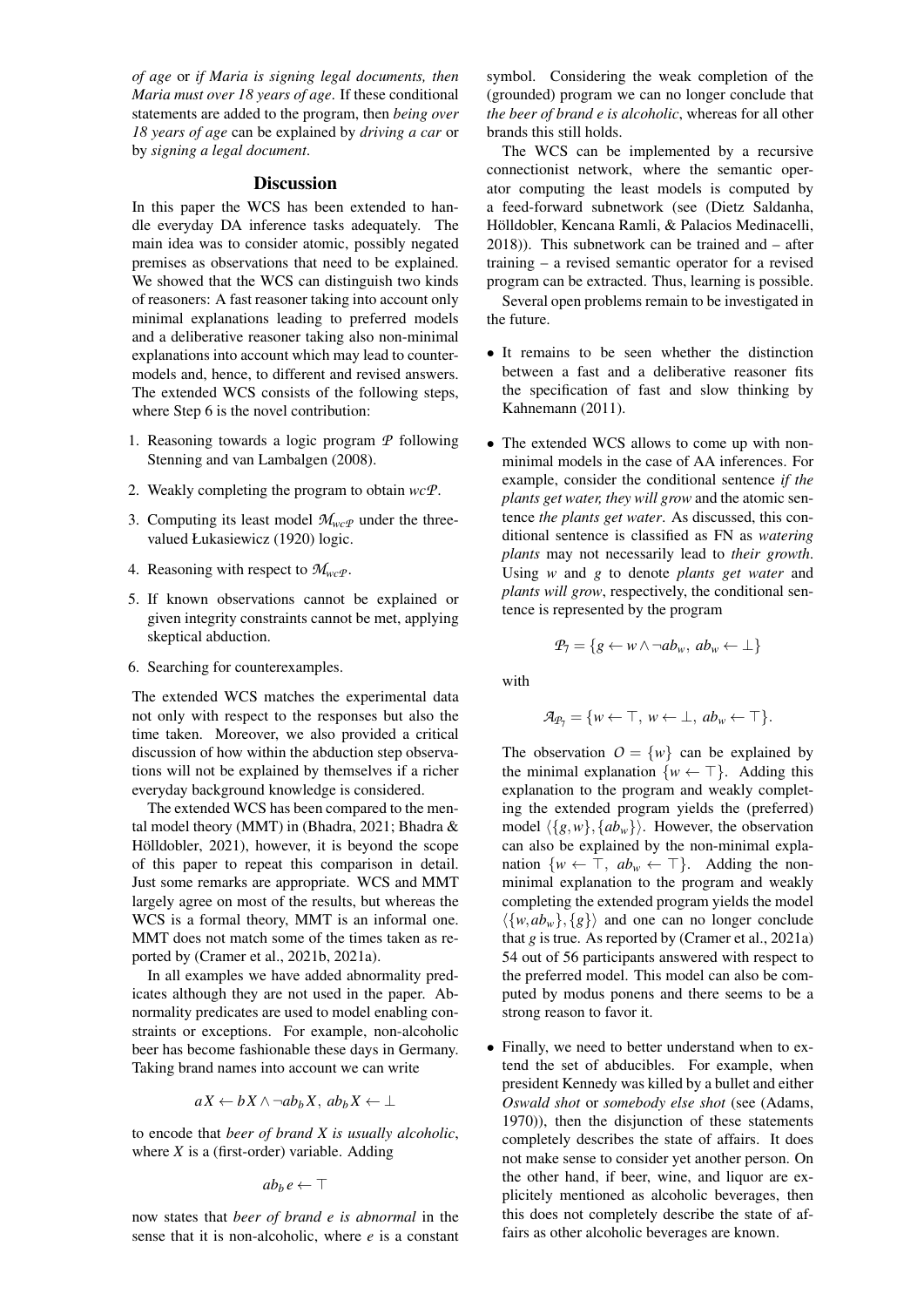*of age* or *if Maria is signing legal documents, then Maria must over 18 years of age*. If these conditional statements are added to the program, then *being over 18 years of age* can be explained by *driving a car* or by *signing a legal document*.

## **Discussion**

In this paper the WCS has been extended to handle everyday DA inference tasks adequately. The main idea was to consider atomic, possibly negated premises as observations that need to be explained. We showed that the WCS can distinguish two kinds of reasoners: A fast reasoner taking into account only minimal explanations leading to preferred models and a deliberative reasoner taking also non-minimal explanations into account which may lead to countermodels and, hence, to different and revised answers. The extended WCS consists of the following steps, where Step 6 is the novel contribution:

- 1. Reasoning towards a logic program *P* following [Stenning and van Lambalgen](#page-6-0) [\(2008\)](#page-6-0).
- 2. Weakly completing the program to obtain *wcP*.
- 3. Computing its least model  $M_{wcP}$  under the threevalued [Łukasiewicz](#page-6-2) [\(1920\)](#page-6-2) logic.
- 4. Reasoning with respect to  $\mathcal{M}_{wc}$  *P*.
- 5. If known observations cannot be explained or given integrity constraints cannot be met, applying skeptical abduction.
- 6. Searching for counterexamples.

The extended WCS matches the experimental data not only with respect to the responses but also the time taken. Moreover, we also provided a critical discussion of how within the abduction step observations will not be explained by themselves if a richer everyday background knowledge is considered.

The extended WCS has been compared to the mental model theory (MMT) in [\(Bhadra, 2021;](#page-6-12) [Bhadra &](#page-6-15) Hölldobler, 2021), however, it is beyond the scope of this paper to repeat this comparison in detail. Just some remarks are appropriate. WCS and MMT largely agree on most of the results, but whereas the WCS is a formal theory, MMT is an informal one. MMT does not match some of the times taken as reported by [\(Cramer et al., 2021b,](#page-6-10) [2021a\)](#page-6-11).

In all examples we have added abnormality predicates although they are not used in the paper. Abnormality predicates are used to model enabling constraints or exceptions. For example, non-alcoholic beer has become fashionable these days in Germany. Taking brand names into account we can write

$$
aX \leftarrow bX \land \neg ab_bX, \ ab_bX \leftarrow \bot
$$

to encode that *beer of brand X is usually alcoholic*, where *X* is a (first-order) variable. Adding

$$
ab_b e \leftarrow \top
$$

now states that *beer of brand e is abnormal* in the sense that it is non-alcoholic, where *e* is a constant symbol. Considering the weak completion of the (grounded) program we can no longer conclude that *the beer of brand e is alcoholic*, whereas for all other brands this still holds.

The WCS can be implemented by a recursive connectionist network, where the semantic operator computing the least models is computed by a feed-forward subnetwork (see [\(Dietz Saldanha,](#page-6-28) Hölldobler, Kencana Ramli, & Palacios Medinacelli, [2018\)](#page-6-28)). This subnetwork can be trained and – after training – a revised semantic operator for a revised program can be extracted. Thus, learning is possible.

Several open problems remain to be investigated in the future.

- It remains to be seen whether the distinction between a fast and a deliberative reasoner fits the specification of fast and slow thinking by [Kahnemann](#page-6-29) [\(2011\)](#page-6-29).
- The extended WCS allows to come up with nonminimal models in the case of AA inferences. For example, consider the conditional sentence *if the plants get water, they will grow* and the atomic sentence *the plants get water*. As discussed, this conditional sentence is classified as FN as *watering plants* may not necessarily lead to *their growth*. Using *w* and *g* to denote *plants get water* and *plants will grow*, respectively, the conditional sentence is represented by the program

$$
\mathcal{P}_7 = \{ g \leftarrow w \land \neg ab_w, \, ab_w \leftarrow \bot \}
$$

with

$$
\mathcal{A}_{\mathcal{P}_7} = \{ w \leftarrow \top, w \leftarrow \bot, ab_w \leftarrow \top \}.
$$

The observation  $O = \{w\}$  can be explained by the minimal explanation  $\{w \leftarrow \top\}$ . Adding this explanation to the program and weakly completing the extended program yields the (preferred) model  $\langle {g,w}, {ab_w} \rangle$ . However, the observation can also be explained by the non-minimal explanation  $\{w \leftarrow \top, ab_w \leftarrow \top\}$ . Adding the nonminimal explanation to the program and weakly completing the extended program yields the model  $\langle \{w, ab_w\}, \{g\} \rangle$  and one can no longer conclude that *g* is true. As reported by [\(Cramer et al., 2021a\)](#page-6-11) 54 out of 56 participants answered with respect to the preferred model. This model can also be computed by modus ponens and there seems to be a strong reason to favor it.

• Finally, we need to better understand when to extend the set of abducibles. For example, when president Kennedy was killed by a bullet and either *Oswald shot* or *somebody else shot* (see [\(Adams,](#page-6-30) [1970\)](#page-6-30)), then the disjunction of these statements completely describes the state of affairs. It does not make sense to consider yet another person. On the other hand, if beer, wine, and liquor are explicitely mentioned as alcoholic beverages, then this does not completely describe the state of affairs as other alcoholic beverages are known.